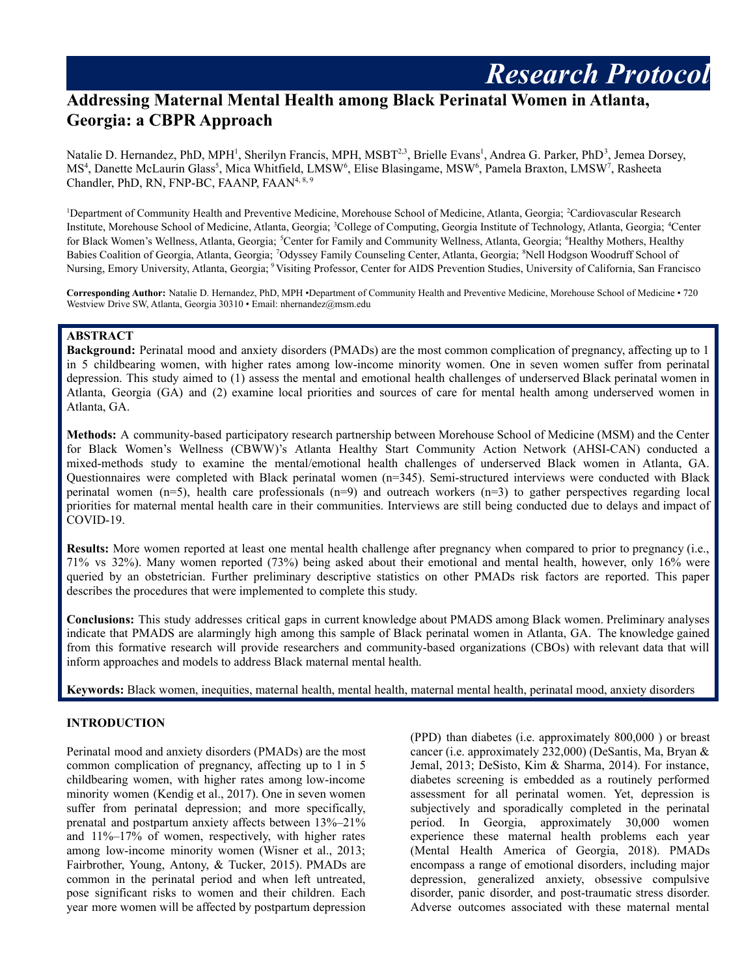# **Addressing Maternal Mental Health among Black Perinatal Women in Atlanta, Georgia: a CBPR Approach**

Natalie D. Hernandez, PhD, MPH<sup>1</sup>, Sherilyn Francis, MPH, MSBT<sup>2,3</sup>, Brielle Evans<sup>1</sup>, Andrea G. Parker, PhD<sup>3</sup>, Jemea Dorsey, MS<sup>4</sup>, Danette McLaurin Glass<sup>5</sup>, Mica Whitfield, LMSW<sup>6</sup>, Elise Blasingame, MSW<sup>6</sup>, Pamela Braxton, LMSW<sup>7</sup>, Rasheeta Chandler, PhD, RN, FNP-BC, FAANP, FAAN<sup>4, 8, 9</sup>

<sup>1</sup>Department of Community Health and Preventive Medicine, Morehouse School of Medicine, Atlanta, Georgia; <sup>2</sup>Cardiovascular Research Institute, Morehouse School of Medicine, Atlanta, Georgia; <sup>3</sup>College of Computing, Georgia Institute of Technology, Atlanta, Georgia; <sup>4</sup>Center for Black Women's Wellness, Atlanta, Georgia; <sup>5</sup>Center for Family and Community Wellness, Atlanta, Georgia; <sup>6</sup>Healthy Mothers, Healthy Babies Coalition of Georgia, Atlanta, Georgia; 7Odyssey Family Counseling Center, Atlanta, Georgia; <sup>8</sup>Nell Hodgson Woodruff School of Nursing, Emory University, Atlanta, Georgia; <sup>9</sup> Visiting Professor, Center for AIDS Prevention Studies, University of California, San Francisco

**Corresponding Author:** Natalie D. Hernandez, PhD, MPH •Department of Community Health and Preventive Medicine, Morehouse School of Medicine • 720 Westview Drive SW, Atlanta, Georgia 30310 • Email: nhernandez@msm.edu

## **ABSTRACT**

**Background:** Perinatal mood and anxiety disorders (PMADs) are the most common complication of pregnancy, affecting up to 1 in 5 childbearing women, with higher rates among low-income minority women. One in seven women suffer from perinatal depression. This study aimed to (1) assess the mental and emotional health challenges of underserved Black perinatal women in Atlanta, Georgia (GA) and (2) examine local priorities and sources of care for mental health among underserved women in Atlanta, GA.

**Methods:** A community-based participatory research partnership between Morehouse School of Medicine (MSM) and the Center for Black Women's Wellness (CBWW)'s Atlanta Healthy Start Community Action Network (AHSI-CAN) conducted a mixed-methods study to examine the mental/emotional health challenges of underserved Black women in Atlanta, GA. Questionnaires were completed with Black perinatal women (n=345). Semi-structured interviews were conducted with Black perinatal women  $(n=5)$ , health care professionals  $(n=9)$  and outreach workers  $(n=3)$  to gather perspectives regarding local priorities for maternal mental health care in their communities. Interviews are still being conducted due to delays and impact of COVID-19.

**Results:** More women reported at least one mental health challenge after pregnancy when compared to prior to pregnancy (i.e., 71% vs 32%). Many women reported (73%) being asked about their emotional and mental health, however, only 16% were queried by an obstetrician. Further preliminary descriptive statistics on other PMADs risk factors are reported. This paper describes the procedures that were implemented to complete this study.

**Conclusions:** This study addresses critical gaps in current knowledge about PMADS among Black women. Preliminary analyses indicate that PMADS are alarmingly high among this sample of Black perinatal women in Atlanta, GA. The knowledge gained from this formative research will provide researchers and community-based organizations (CBOs) with relevant data that will inform approaches and models to address Black maternal mental health.

**Keywords:** Black women, inequities, maternal health, mental health, maternal mental health, perinatal mood, anxiety disorders

#### **INTRODUCTION**

Perinatal mood and anxiety disorders (PMADs) are the most common complication of pregnancy, affecting up to 1 in 5 childbearing women, with higher rates among low-income minority women (Kendig et al., 2017). One in seven women suffer from perinatal depression; and more specifically, prenatal and postpartum anxiety affects between 13%–21% and 11%–17% of women, respectively, with higher rates among low-income minority women (Wisner et al., 2013; Fairbrother, Young, Antony, & Tucker, 2015). PMADs are common in the perinatal period and when left untreated, pose significant risks to women and their children. Each year more women will be affected by postpartum depression

(PPD) than diabetes (i.e. approximately 800,000 ) or breast cancer (i.e. approximately 232,000) (DeSantis, Ma, Bryan & Jemal, 2013; DeSisto, Kim & Sharma, 2014). For instance, diabetes screening is embedded as a routinely performed assessment for all perinatal women. Yet, depression is subjectively and sporadically completed in the perinatal period. In Georgia, approximately 30,000 women experience these maternal health problems each year (Mental Health America of Georgia, 2018). PMADs encompass a range of emotional disorders, including major depression, generalized anxiety, obsessive compulsive disorder, panic disorder, and post-traumatic stress disorder. Adverse outcomes associated with these maternal mental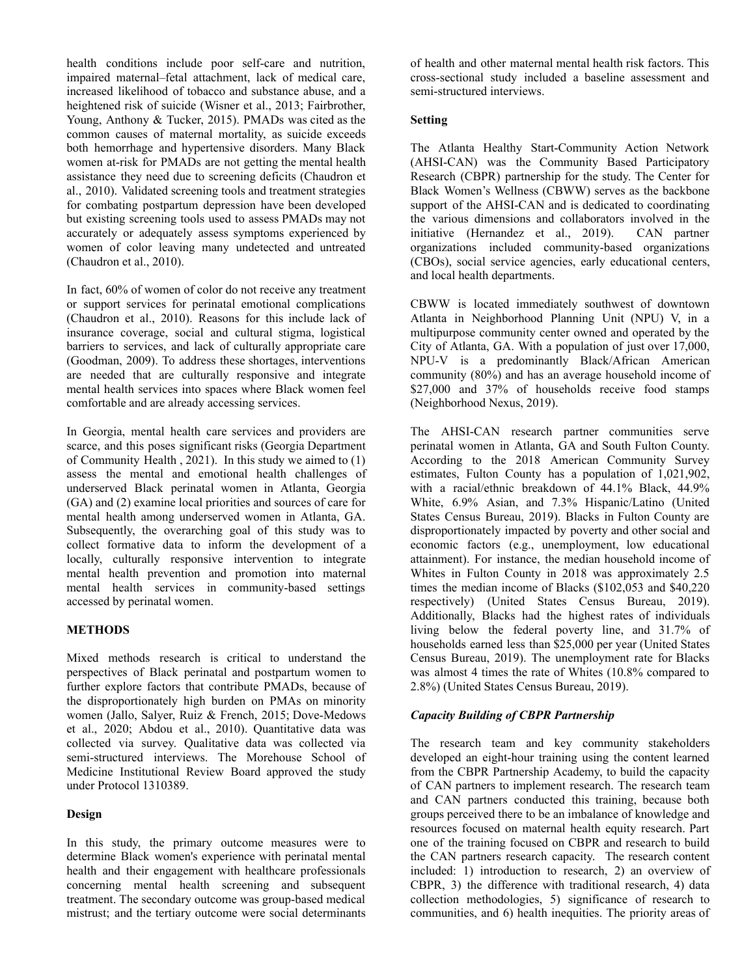health conditions include poor self-care and nutrition, impaired maternal–fetal attachment, lack of medical care, increased likelihood of tobacco and substance abuse, and a heightened risk of suicide (Wisner et al., 2013; Fairbrother, Young, Anthony & Tucker, 2015). PMADs was cited as the common causes of maternal mortality, as suicide exceeds both hemorrhage and hypertensive disorders. Many Black women at-risk for PMADs are not getting the mental health assistance they need due to screening deficits (Chaudron et al., 2010). Validated screening tools and treatment strategies for combating postpartum depression have been developed but existing screening tools used to assess PMADs may not accurately or adequately assess symptoms experienced by women of color leaving many undetected and untreated (Chaudron et al., 2010).

In fact, 60% of women of color do not receive any treatment or support services for perinatal emotional complications (Chaudron et al., 2010). Reasons for this include lack of insurance coverage, social and cultural stigma, logistical barriers to services, and lack of culturally appropriate care (Goodman, 2009). To address these shortages, interventions are needed that are culturally responsive and integrate mental health services into spaces where Black women feel comfortable and are already accessing services.

In Georgia, mental health care services and providers are scarce, and this poses significant risks (Georgia Department of Community Health , 2021). In this study we aimed to (1) assess the mental and emotional health challenges of underserved Black perinatal women in Atlanta, Georgia (GA) and (2) examine local priorities and sources of care for mental health among underserved women in Atlanta, GA. Subsequently, the overarching goal of this study was to collect formative data to inform the development of a locally, culturally responsive intervention to integrate mental health prevention and promotion into maternal mental health services in community-based settings accessed by perinatal women.

## **METHODS**

Mixed methods research is critical to understand the perspectives of Black perinatal and postpartum women to further explore factors that contribute PMADs, because of the disproportionately high burden on PMAs on minority women (Jallo, Salyer, Ruiz & French, 2015; Dove-Medows et al., 2020; Abdou et al., 2010). Quantitative data was collected via survey. Qualitative data was collected via semi-structured interviews. The Morehouse School of Medicine Institutional Review Board approved the study under Protocol 1310389.

# **Design**

In this study, the primary outcome measures were to determine Black women's experience with perinatal mental health and their engagement with healthcare professionals concerning mental health screening and subsequent treatment. The secondary outcome was group-based medical mistrust; and the tertiary outcome were social determinants

of health and other maternal mental health risk factors. This cross-sectional study included a baseline assessment and semi-structured interviews.

## **Setting**

The Atlanta Healthy Start-Community Action Network (AHSI-CAN) was the Community Based Participatory Research (CBPR) partnership for the study. The Center for Black Women's Wellness (CBWW) serves as the backbone support of the AHSI-CAN and is dedicated to coordinating the various dimensions and collaborators involved in the initiative (Hernandez et al., 2019). CAN partner organizations included community-based organizations (CBOs), social service agencies, early educational centers, and local health departments.

CBWW is located immediately southwest of downtown Atlanta in Neighborhood Planning Unit (NPU) V, in a multipurpose community center owned and operated by the City of Atlanta, GA. With a population of just over 17,000, NPU-V is a predominantly Black/African American community (80%) and has an average household income of \$27,000 and 37% of households receive food stamps (Neighborhood Nexus, 2019).

The AHSI-CAN research partner communities serve perinatal women in Atlanta, GA and South Fulton County. According to the 2018 American Community Survey estimates, Fulton County has a population of 1,021,902, with a racial/ethnic breakdown of 44.1% Black, 44.9% White, 6.9% Asian, and 7.3% Hispanic/Latino (United States Census Bureau, 2019). Blacks in Fulton County are disproportionately impacted by poverty and other social and economic factors (e.g., unemployment, low educational attainment). For instance, the median household income of Whites in Fulton County in 2018 was approximately 2.5 times the median income of Blacks (\$102,053 and \$40,220 respectively) (United States Census Bureau, 2019). Additionally, Blacks had the highest rates of individuals living below the federal poverty line, and 31.7% of households earned less than \$25,000 per year (United States Census Bureau, 2019). The unemployment rate for Blacks was almost 4 times the rate of Whites (10.8% compared to 2.8%) (United States Census Bureau, 2019).

# *Capacity Building of CBPR Partnership*

The research team and key community stakeholders developed an eight-hour training using the content learned from the CBPR Partnership Academy, to build the capacity of CAN partners to implement research. The research team and CAN partners conducted this training, because both groups perceived there to be an imbalance of knowledge and resources focused on maternal health equity research. Part one of the training focused on CBPR and research to build the CAN partners research capacity. The research content included: 1) introduction to research, 2) an overview of CBPR, 3) the difference with traditional research, 4) data collection methodologies, 5) significance of research to communities, and 6) health inequities. The priority areas of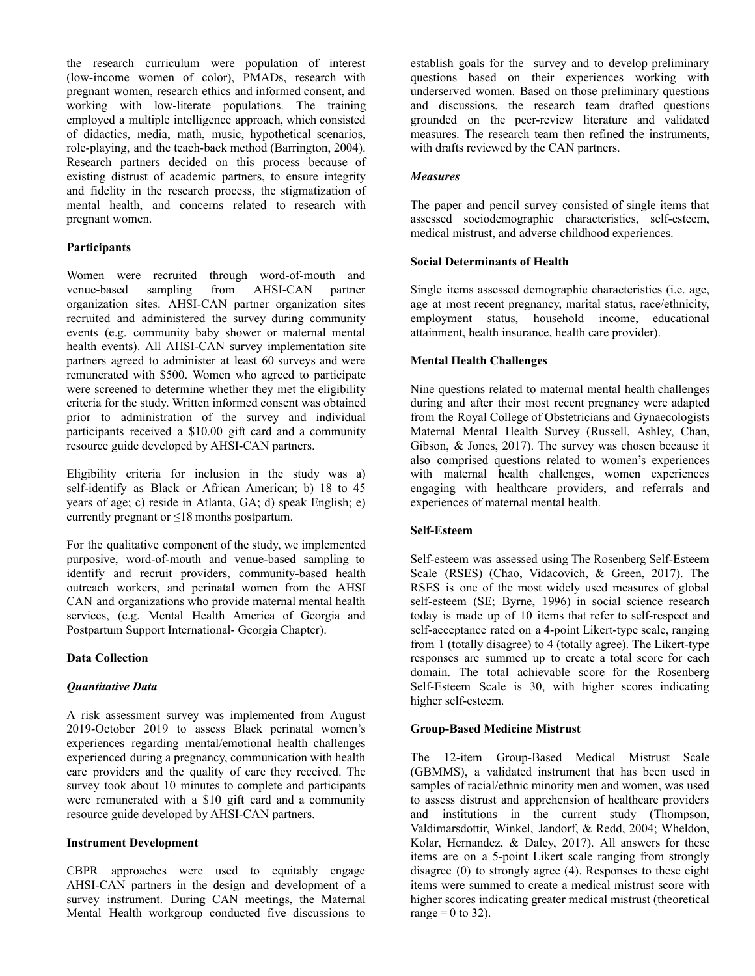the research curriculum were population of interest (low-income women of color), PMADs, research with pregnant women, research ethics and informed consent, and working with low-literate populations. The training employed a multiple intelligence approach, which consisted of didactics, media, math, music, hypothetical scenarios, role-playing, and the teach-back method (Barrington, 2004). Research partners decided on this process because of existing distrust of academic partners, to ensure integrity and fidelity in the research process, the stigmatization of mental health, and concerns related to research with pregnant women.

## **Participants**

Women were recruited through word-of-mouth and venue-based sampling from AHSI-CAN partner organization sites. AHSI-CAN partner organization sites recruited and administered the survey during community events (e.g. community baby shower or maternal mental health events). All AHSI-CAN survey implementation site partners agreed to administer at least 60 surveys and were remunerated with \$500. Women who agreed to participate were screened to determine whether they met the eligibility criteria for the study. Written informed consent was obtained prior to administration of the survey and individual participants received a \$10.00 gift card and a community resource guide developed by AHSI-CAN partners.

Eligibility criteria for inclusion in the study was a) self-identify as Black or African American; b) 18 to 45 years of age; c) reside in Atlanta, GA; d) speak English; e) currently pregnant or ≤18 months postpartum.

For the qualitative component of the study, we implemented purposive, word-of-mouth and venue-based sampling to identify and recruit providers, community-based health outreach workers, and perinatal women from the AHSI CAN and organizations who provide maternal mental health services, (e.g. Mental Health America of Georgia and Postpartum Support International- Georgia Chapter).

## **Data Collection**

## *Quantitative Data*

A risk assessment survey was implemented from August 2019-October 2019 to assess Black perinatal women's experiences regarding mental/emotional health challenges experienced during a pregnancy, communication with health care providers and the quality of care they received. The survey took about 10 minutes to complete and participants were remunerated with a \$10 gift card and a community resource guide developed by AHSI-CAN partners.

## **Instrument Development**

CBPR approaches were used to equitably engage AHSI-CAN partners in the design and development of a survey instrument. During CAN meetings, the Maternal Mental Health workgroup conducted five discussions to

establish goals for the survey and to develop preliminary questions based on their experiences working with underserved women. Based on those preliminary questions and discussions, the research team drafted questions grounded on the peer-review literature and validated measures. The research team then refined the instruments, with drafts reviewed by the CAN partners.

# *Measures*

The paper and pencil survey consisted of single items that assessed sociodemographic characteristics, self-esteem, medical mistrust, and adverse childhood experiences.

# **Social Determinants of Health**

Single items assessed demographic characteristics (i.e. age, age at most recent pregnancy, marital status, race/ethnicity, employment status, household income, educational attainment, health insurance, health care provider).

# **Mental Health Challenges**

Nine questions related to maternal mental health challenges during and after their most recent pregnancy were adapted from the Royal College of Obstetricians and Gynaecologists Maternal Mental Health Survey (Russell, Ashley, Chan, Gibson, & Jones, 2017). The survey was chosen because it also comprised questions related to women's experiences with maternal health challenges, women experiences engaging with healthcare providers, and referrals and experiences of maternal mental health.

## **Self-Esteem**

Self-esteem was assessed using The Rosenberg Self-Esteem Scale (RSES) (Chao, Vidacovich, & Green, 2017). The RSES is one of the most widely used measures of global self-esteem (SE; Byrne, 1996) in social science research today is made up of 10 items that refer to self-respect and self-acceptance rated on a 4-point Likert-type scale, ranging from 1 (totally disagree) to 4 (totally agree). The Likert-type responses are summed up to create a total score for each domain. The total achievable score for the Rosenberg Self-Esteem Scale is 30, with higher scores indicating higher self-esteem.

# **Group-Based Medicine Mistrust**

The 12-item Group-Based Medical Mistrust Scale (GBMMS), a validated instrument that has been used in samples of racial/ethnic minority men and women, was used to assess distrust and apprehension of healthcare providers and institutions in the current study (Thompson, Valdimarsdottir, Winkel, Jandorf, & Redd, 2004; Wheldon, Kolar, Hernandez, & Daley, 2017). All answers for these items are on a 5-point Likert scale ranging from strongly disagree (0) to strongly agree (4). Responses to these eight items were summed to create a medical mistrust score with higher scores indicating greater medical mistrust (theoretical range = 0 to 32).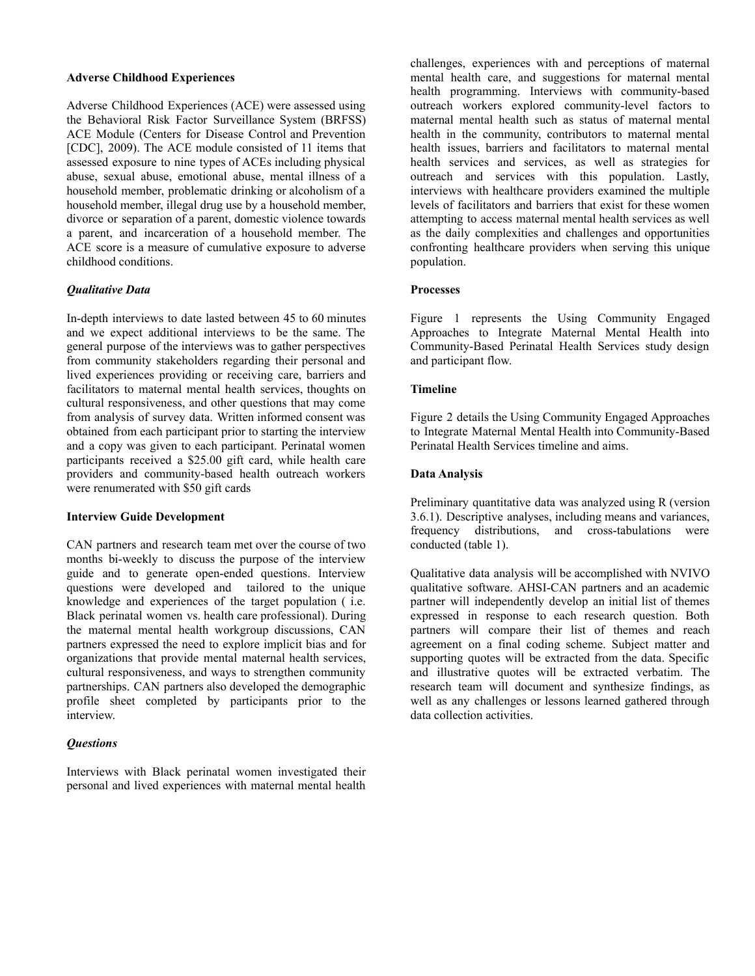#### **Adverse Childhood Experiences**

Adverse Childhood Experiences (ACE) were assessed using the Behavioral Risk Factor Surveillance System (BRFSS) ACE Module (Centers for Disease Control and Prevention [CDC], 2009). The ACE module consisted of 11 items that assessed exposure to nine types of ACEs including physical abuse, sexual abuse, emotional abuse, mental illness of a household member, problematic drinking or alcoholism of a household member, illegal drug use by a household member, divorce or separation of a parent, domestic violence towards a parent, and incarceration of a household member. The ACE score is a measure of cumulative exposure to adverse childhood conditions.

## *Qualitative Data*

In-depth interviews to date lasted between 45 to 60 minutes and we expect additional interviews to be the same. The general purpose of the interviews was to gather perspectives from community stakeholders regarding their personal and lived experiences providing or receiving care, barriers and facilitators to maternal mental health services, thoughts on cultural responsiveness, and other questions that may come from analysis of survey data. Written informed consent was obtained from each participant prior to starting the interview and a copy was given to each participant. Perinatal women participants received a \$25.00 gift card, while health care providers and community-based health outreach workers were renumerated with \$50 gift cards

## **Interview Guide Development**

CAN partners and research team met over the course of two months bi-weekly to discuss the purpose of the interview guide and to generate open-ended questions. Interview questions were developed and tailored to the unique knowledge and experiences of the target population ( i.e. Black perinatal women vs. health care professional). During the maternal mental health workgroup discussions, CAN partners expressed the need to explore implicit bias and for organizations that provide mental maternal health services, cultural responsiveness, and ways to strengthen community partnerships. CAN partners also developed the demographic profile sheet completed by participants prior to the interview.

## *Questions*

Interviews with Black perinatal women investigated their personal and lived experiences with maternal mental health challenges, experiences with and perceptions of maternal mental health care, and suggestions for maternal mental health programming. Interviews with community-based outreach workers explored community-level factors to maternal mental health such as status of maternal mental health in the community, contributors to maternal mental health issues, barriers and facilitators to maternal mental health services and services, as well as strategies for outreach and services with this population. Lastly, interviews with healthcare providers examined the multiple levels of facilitators and barriers that exist for these women attempting to access maternal mental health services as well as the daily complexities and challenges and opportunities confronting healthcare providers when serving this unique population.

## **Processes**

Figure 1 represents the Using Community Engaged Approaches to Integrate Maternal Mental Health into Community-Based Perinatal Health Services study design and participant flow.

## **Timeline**

Figure 2 details the Using Community Engaged Approaches to Integrate Maternal Mental Health into Community-Based Perinatal Health Services timeline and aims.

# **Data Analysis**

Preliminary quantitative data was analyzed using R (version 3.6.1). Descriptive analyses, including means and variances, frequency distributions, and cross-tabulations were conducted (table 1).

Qualitative data analysis will be accomplished with NVIVO qualitative software. AHSI-CAN partners and an academic partner will independently develop an initial list of themes expressed in response to each research question. Both partners will compare their list of themes and reach agreement on a final coding scheme. Subject matter and supporting quotes will be extracted from the data. Specific and illustrative quotes will be extracted verbatim. The research team will document and synthesize findings, as well as any challenges or lessons learned gathered through data collection activities.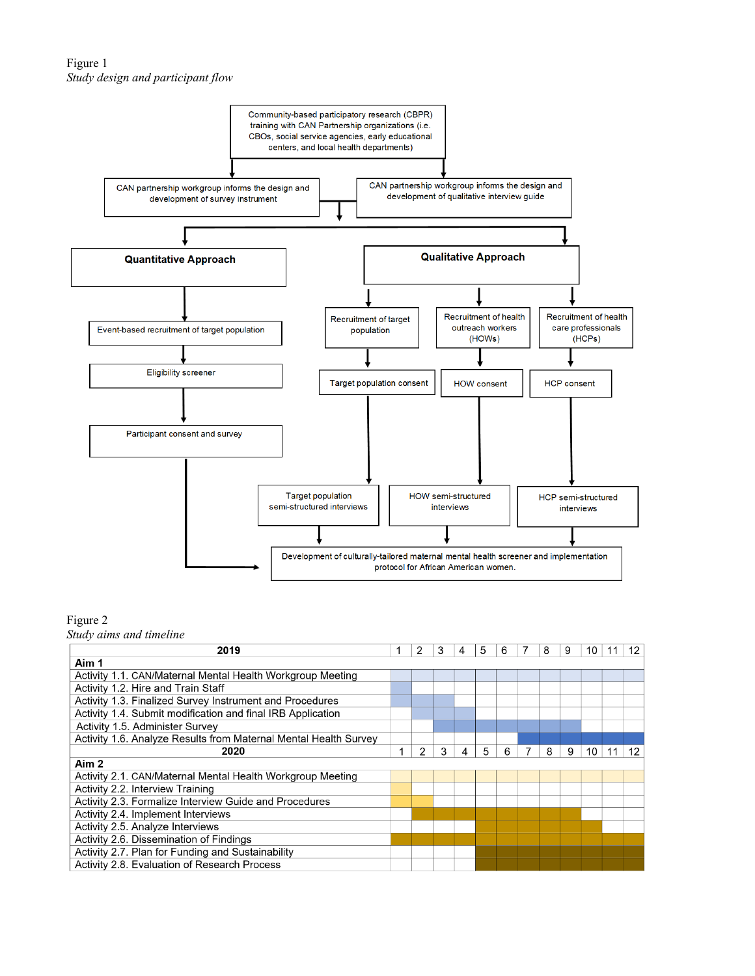# Figure 1 *Study design and participant flow*



#### Figure 2

*Study aims and timeline*

| 2019                                                             | 2 | 3 | 4 | 5 | 6 | 8 | 9 | 10 | 11 | 12 |
|------------------------------------------------------------------|---|---|---|---|---|---|---|----|----|----|
| Aim 1                                                            |   |   |   |   |   |   |   |    |    |    |
| Activity 1.1. CAN/Maternal Mental Health Workgroup Meeting       |   |   |   |   |   |   |   |    |    |    |
| Activity 1.2. Hire and Train Staff                               |   |   |   |   |   |   |   |    |    |    |
| Activity 1.3. Finalized Survey Instrument and Procedures         |   |   |   |   |   |   |   |    |    |    |
| Activity 1.4. Submit modification and final IRB Application      |   |   |   |   |   |   |   |    |    |    |
| Activity 1.5. Administer Survey                                  |   |   |   |   |   |   |   |    |    |    |
| Activity 1.6. Analyze Results from Maternal Mental Health Survey |   |   |   |   |   |   |   |    |    |    |
| 2020                                                             | 2 | 3 | 4 | 5 | 6 | 8 | 9 | 10 |    | 12 |
| Aim 2                                                            |   |   |   |   |   |   |   |    |    |    |
| Activity 2.1. CAN/Maternal Mental Health Workgroup Meeting       |   |   |   |   |   |   |   |    |    |    |
| Activity 2.2. Interview Training                                 |   |   |   |   |   |   |   |    |    |    |
| Activity 2.3. Formalize Interview Guide and Procedures           |   |   |   |   |   |   |   |    |    |    |
| Activity 2.4. Implement Interviews                               |   |   |   |   |   |   |   |    |    |    |
| Activity 2.5. Analyze Interviews                                 |   |   |   |   |   |   |   |    |    |    |
| Activity 2.6. Dissemination of Findings                          |   |   |   |   |   |   |   |    |    |    |
| Activity 2.7. Plan for Funding and Sustainability                |   |   |   |   |   |   |   |    |    |    |
| Activity 2.8. Evaluation of Research Process                     |   |   |   |   |   |   |   |    |    |    |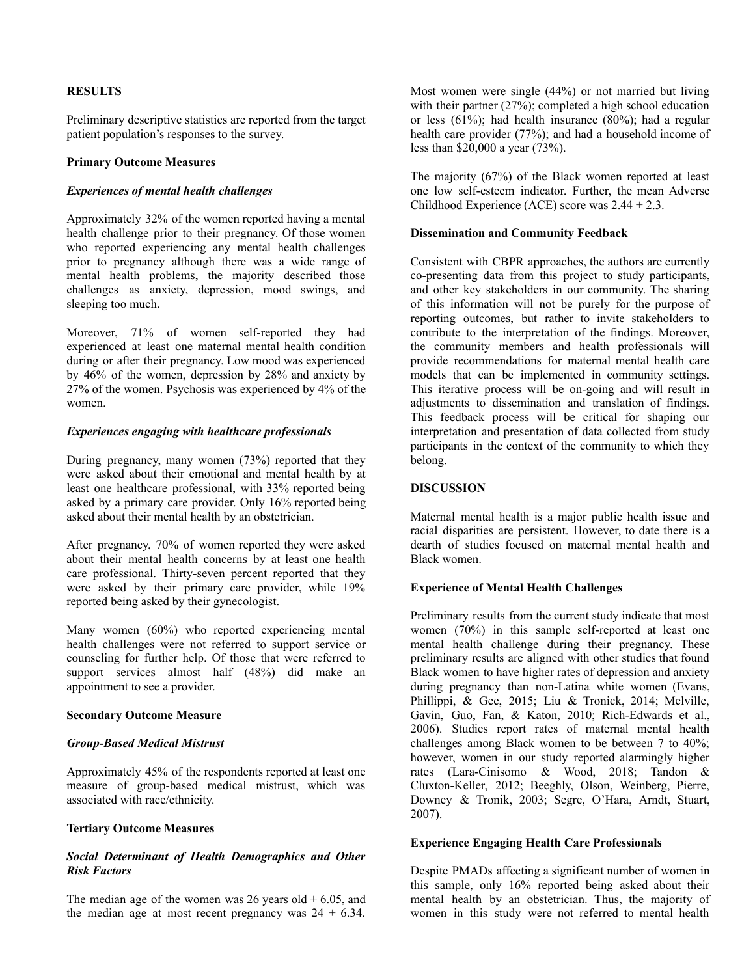## **RESULTS**

Preliminary descriptive statistics are reported from the target patient population's responses to the survey.

#### **Primary Outcome Measures**

## *Experiences of mental health challenges*

Approximately 32% of the women reported having a mental health challenge prior to their pregnancy. Of those women who reported experiencing any mental health challenges prior to pregnancy although there was a wide range of mental health problems, the majority described those challenges as anxiety, depression, mood swings, and sleeping too much.

Moreover, 71% of women self-reported they had experienced at least one maternal mental health condition during or after their pregnancy. Low mood was experienced by 46% of the women, depression by 28% and anxiety by 27% of the women. Psychosis was experienced by 4% of the women.

#### *Experiences engaging with healthcare professionals*

During pregnancy, many women (73%) reported that they were asked about their emotional and mental health by at least one healthcare professional, with 33% reported being asked by a primary care provider. Only 16% reported being asked about their mental health by an obstetrician.

After pregnancy, 70% of women reported they were asked about their mental health concerns by at least one health care professional. Thirty-seven percent reported that they were asked by their primary care provider, while 19% reported being asked by their gynecologist.

Many women (60%) who reported experiencing mental health challenges were not referred to support service or counseling for further help. Of those that were referred to support services almost half (48%) did make an appointment to see a provider.

## **Secondary Outcome Measure**

## *Group-Based Medical Mistrust*

Approximately 45% of the respondents reported at least one measure of group-based medical mistrust, which was associated with race/ethnicity.

#### **Tertiary Outcome Measures**

## *Social Determinant of Health Demographics and Other Risk Factors*

The median age of the women was  $26$  years old  $+ 6.05$ , and the median age at most recent pregnancy was  $24 + 6.34$ .

Most women were single (44%) or not married but living with their partner (27%); completed a high school education or less  $(61\%)$ ; had health insurance  $(80\%)$ ; had a regular health care provider (77%); and had a household income of less than \$20,000 a year (73%).

The majority (67%) of the Black women reported at least one low self-esteem indicator. Further, the mean Adverse Childhood Experience (ACE) score was 2.44 + 2.3.

#### **Dissemination and Community Feedback**

Consistent with CBPR approaches, the authors are currently co-presenting data from this project to study participants, and other key stakeholders in our community. The sharing of this information will not be purely for the purpose of reporting outcomes, but rather to invite stakeholders to contribute to the interpretation of the findings. Moreover, the community members and health professionals will provide recommendations for maternal mental health care models that can be implemented in community settings. This iterative process will be on-going and will result in adjustments to dissemination and translation of findings. This feedback process will be critical for shaping our interpretation and presentation of data collected from study participants in the context of the community to which they belong.

#### **DISCUSSION**

Maternal mental health is a major public health issue and racial disparities are persistent. However, to date there is a dearth of studies focused on maternal mental health and Black women.

#### **Experience of Mental Health Challenges**

Preliminary results from the current study indicate that most women (70%) in this sample self-reported at least one mental health challenge during their pregnancy. These preliminary results are aligned with other studies that found Black women to have higher rates of depression and anxiety during pregnancy than non-Latina white women (Evans, Phillippi, & Gee, 2015; Liu & Tronick, 2014; Melville, Gavin, Guo, Fan, & Katon, 2010; Rich-Edwards et al., 2006). Studies report rates of maternal mental health challenges among Black women to be between 7 to 40%; however, women in our study reported alarmingly higher rates (Lara-Cinisomo & Wood, 2018; Tandon & Cluxton-Keller, 2012; Beeghly, Olson, Weinberg, Pierre, Downey & Tronik, 2003; Segre, O'Hara, Arndt, Stuart, 2007).

#### **Experience Engaging Health Care Professionals**

Despite PMADs affecting a significant number of women in this sample, only 16% reported being asked about their mental health by an obstetrician. Thus, the majority of women in this study were not referred to mental health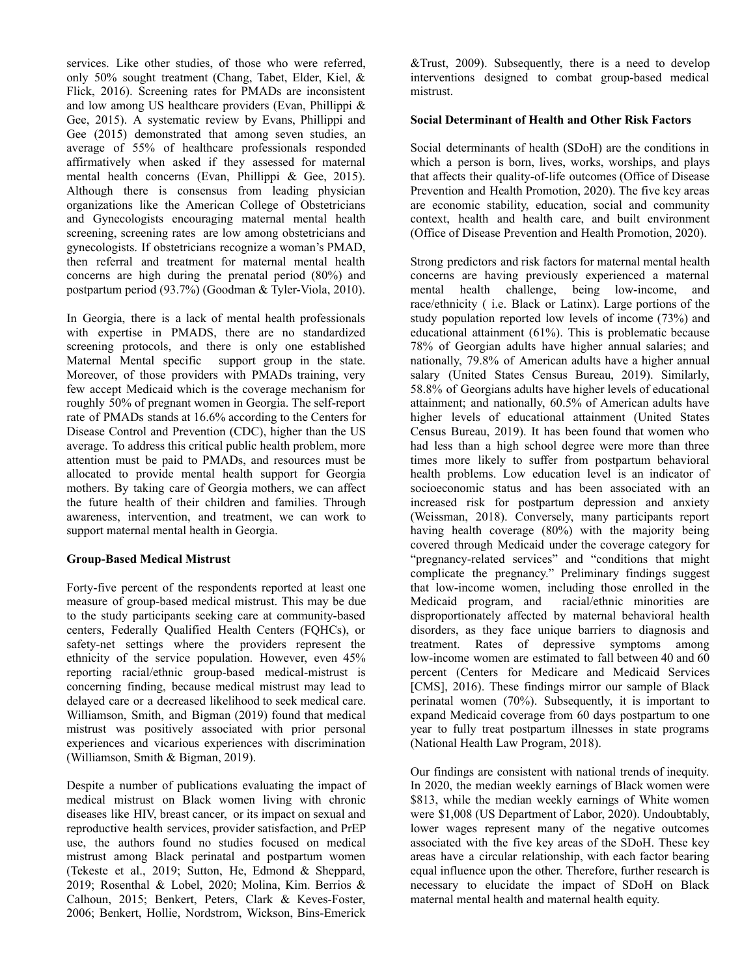services. Like other studies, of those who were referred, only 50% sought treatment (Chang, Tabet, Elder, Kiel, & Flick, 2016). Screening rates for PMADs are inconsistent and low among US healthcare providers (Evan, Phillippi & Gee, 2015). A systematic review by Evans, Phillippi and Gee (2015) demonstrated that among seven studies, an average of 55% of healthcare professionals responded affirmatively when asked if they assessed for maternal mental health concerns (Evan, Phillippi & Gee, 2015). Although there is consensus from leading physician organizations like the American College of Obstetricians and Gynecologists encouraging maternal mental health screening, screening rates are low among obstetricians and gynecologists. If obstetricians recognize a woman's PMAD, then referral and treatment for maternal mental health concerns are high during the prenatal period (80%) and postpartum period (93.7%) (Goodman & Tyler-Viola, 2010).

In Georgia, there is a lack of mental health professionals with expertise in PMADS, there are no standardized screening protocols, and there is only one established Maternal Mental specific support group in the state. Moreover, of those providers with PMADs training, very few accept Medicaid which is the coverage mechanism for roughly 50% of pregnant women in Georgia. The self-report rate of PMADs stands at 16.6% according to the Centers for Disease Control and Prevention (CDC), higher than the US average. To address this critical public health problem, more attention must be paid to PMADs, and resources must be allocated to provide mental health support for Georgia mothers. By taking care of Georgia mothers, we can affect the future health of their children and families. Through awareness, intervention, and treatment, we can work to support maternal mental health in Georgia.

## **Group-Based Medical Mistrust**

Forty-five percent of the respondents reported at least one measure of group-based medical mistrust. This may be due to the study participants seeking care at community-based centers, Federally Qualified Health Centers (FQHCs), or safety-net settings where the providers represent the ethnicity of the service population. However, even 45% reporting racial/ethnic group-based medical-mistrust is concerning finding, because medical mistrust may lead to delayed care or a decreased likelihood to seek medical care. Williamson, Smith, and Bigman (2019) found that medical mistrust was positively associated with prior personal experiences and vicarious experiences with discrimination (Williamson, Smith & Bigman, 2019).

Despite a number of publications evaluating the impact of medical mistrust on Black women living with chronic diseases like HIV, breast cancer, or its impact on sexual and reproductive health services, provider satisfaction, and PrEP use, the authors found no studies focused on medical mistrust among Black perinatal and postpartum women (Tekeste et al., 2019; Sutton, He, Edmond & Sheppard, 2019; Rosenthal & Lobel, 2020; Molina, Kim. Berrios & Calhoun, 2015; Benkert, Peters, Clark & Keves-Foster, 2006; Benkert, Hollie, Nordstrom, Wickson, Bins-Emerick

&Trust, 2009). Subsequently, there is a need to develop interventions designed to combat group-based medical mistrust.

#### **Social Determinant of Health and Other Risk Factors**

Social determinants of health (SDoH) are the conditions in which a person is born, lives, works, worships, and plays that affects their quality-of-life outcomes (Office of Disease Prevention and Health Promotion, 2020). The five key areas are economic stability, education, social and community context, health and health care, and built environment (Office of Disease Prevention and Health Promotion, 2020).

Strong predictors and risk factors for maternal mental health concerns are having previously experienced a maternal mental health challenge, being low-income, and race/ethnicity ( i.e. Black or Latinx). Large portions of the study population reported low levels of income (73%) and educational attainment (61%). This is problematic because 78% of Georgian adults have higher annual salaries; and nationally, 79.8% of American adults have a higher annual salary (United States Census Bureau, 2019). Similarly, 58.8% of Georgians adults have higher levels of educational attainment; and nationally, 60.5% of American adults have higher levels of educational attainment (United States Census Bureau, 2019). It has been found that women who had less than a high school degree were more than three times more likely to suffer from postpartum behavioral health problems. Low education level is an indicator of socioeconomic status and has been associated with an increased risk for postpartum depression and anxiety (Weissman, 2018). Conversely, many participants report having health coverage (80%) with the majority being covered through Medicaid under the coverage category for "pregnancy-related services" and "conditions that might complicate the pregnancy." Preliminary findings suggest that low-income women, including those enrolled in the Medicaid program, and racial/ethnic minorities are disproportionately affected by maternal behavioral health disorders, as they face unique barriers to diagnosis and treatment. Rates of depressive symptoms among low-income women are estimated to fall between 40 and 60 percent (Centers for Medicare and Medicaid Services [CMS], 2016). These findings mirror our sample of Black perinatal women (70%). Subsequently, it is important to expand Medicaid coverage from 60 days postpartum to one year to fully treat postpartum illnesses in state programs (National Health Law Program, 2018).

Our findings are consistent with national trends of inequity. In 2020, the median weekly earnings of Black women were \$813, while the median weekly earnings of White women were \$1,008 (US Department of Labor, 2020). Undoubtably, lower wages represent many of the negative outcomes associated with the five key areas of the SDoH. These key areas have a circular relationship, with each factor bearing equal influence upon the other. Therefore, further research is necessary to elucidate the impact of SDoH on Black maternal mental health and maternal health equity.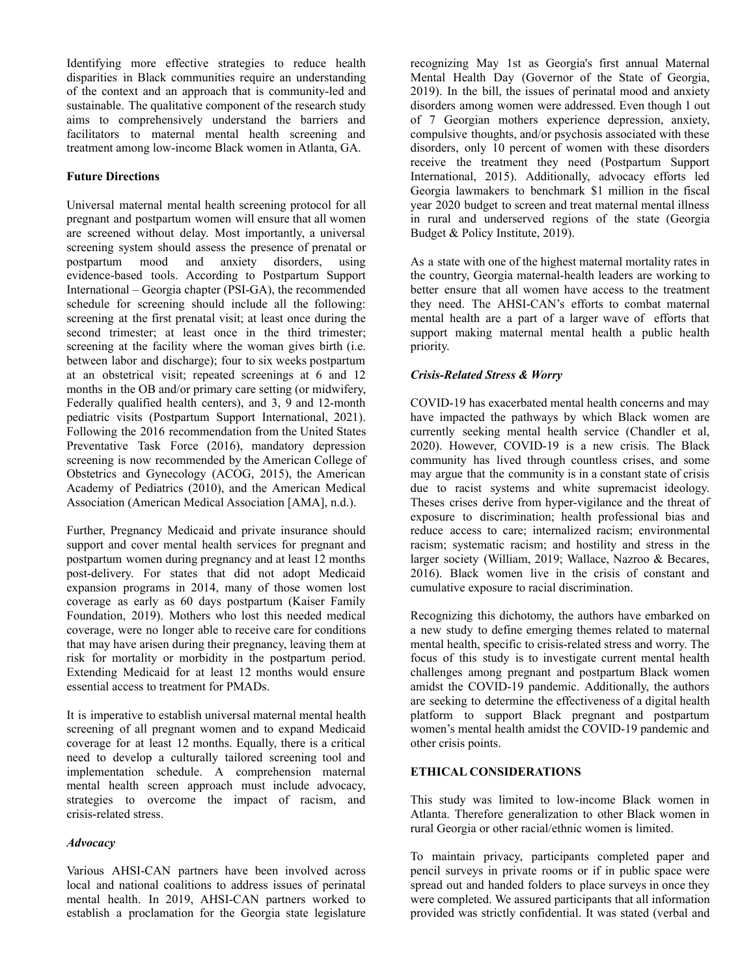Identifying more effective strategies to reduce health disparities in Black communities require an understanding of the context and an approach that is community-led and sustainable. The qualitative component of the research study aims to comprehensively understand the barriers and facilitators to maternal mental health screening and treatment among low-income Black women in Atlanta, GA.

## **Future Directions**

Universal maternal mental health screening protocol for all pregnant and postpartum women will ensure that all women are screened without delay. Most importantly, a universal screening system should assess the presence of prenatal or postpartum mood and anxiety disorders, using evidence-based tools. According to Postpartum Support International – Georgia chapter (PSI-GA), the recommended schedule for screening should include all the following: screening at the first prenatal visit; at least once during the second trimester; at least once in the third trimester; screening at the facility where the woman gives birth (i.e. between labor and discharge); four to six weeks postpartum at an obstetrical visit; repeated screenings at 6 and 12 months in the OB and/or primary care setting (or midwifery, Federally qualified health centers), and 3, 9 and 12-month pediatric visits (Postpartum Support International, 2021). Following the 2016 recommendation from the United States Preventative Task Force (2016), mandatory depression screening is now recommended by the American College of Obstetrics and Gynecology (ACOG, 2015), the American Academy of Pediatrics (2010), and the American Medical Association (American Medical Association [AMA], n.d.).

Further, Pregnancy Medicaid and private insurance should support and cover mental health services for pregnant and postpartum women during pregnancy and at least 12 months post-delivery. For states that did not adopt Medicaid expansion programs in 2014, many of those women lost coverage as early as 60 days postpartum (Kaiser Family Foundation, 2019). Mothers who lost this needed medical coverage, were no longer able to receive care for conditions that may have arisen during their pregnancy, leaving them at risk for mortality or morbidity in the postpartum period. Extending Medicaid for at least 12 months would ensure essential access to treatment for PMADs.

It is imperative to establish universal maternal mental health screening of all pregnant women and to expand Medicaid coverage for at least 12 months. Equally, there is a critical need to develop a culturally tailored screening tool and implementation schedule. A comprehension maternal mental health screen approach must include advocacy, strategies to overcome the impact of racism, and crisis-related stress.

## *Advocacy*

Various AHSI-CAN partners have been involved across local and national coalitions to address issues of perinatal mental health. In 2019, AHSI-CAN partners worked to establish a proclamation for the Georgia state legislature

recognizing May 1st as Georgia's first annual Maternal Mental Health Day (Governor of the State of Georgia, 2019). In the bill, the issues of perinatal mood and anxiety disorders among women were addressed. Even though 1 out of 7 Georgian mothers experience depression, anxiety, compulsive thoughts, and/or psychosis associated with these disorders, only 10 percent of women with these disorders receive the treatment they need (Postpartum Support International, 2015). Additionally, advocacy efforts led Georgia lawmakers to benchmark \$1 million in the fiscal year 2020 budget to screen and treat maternal mental illness in rural and underserved regions of the state (Georgia Budget & Policy Institute, 2019).

As a state with one of the highest maternal mortality rates in the country, Georgia maternal-health leaders are working to better ensure that all women have access to the treatment they need. The AHSI-CAN's efforts to combat maternal mental health are a part of a larger wave of efforts that support making maternal mental health a public health priority.

# *Crisis-Related Stress & Worry*

COVID-19 has exacerbated mental health concerns and may have impacted the pathways by which Black women are currently seeking mental health service (Chandler et al, 2020). However, COVID-19 is a new crisis. The Black community has lived through countless crises, and some may argue that the community is in a constant state of crisis due to racist systems and white supremacist ideology. Theses crises derive from hyper-vigilance and the threat of exposure to discrimination; health professional bias and reduce access to care; internalized racism; environmental racism; systematic racism; and hostility and stress in the larger society (William, 2019; Wallace, Nazroo & Becares, 2016). Black women live in the crisis of constant and cumulative exposure to racial discrimination.

Recognizing this dichotomy, the authors have embarked on a new study to define emerging themes related to maternal mental health, specific to crisis-related stress and worry. The focus of this study is to investigate current mental health challenges among pregnant and postpartum Black women amidst the COVID-19 pandemic. Additionally, the authors are seeking to determine the effectiveness of a digital health platform to support Black pregnant and postpartum women's mental health amidst the COVID-19 pandemic and other crisis points.

# **ETHICAL CONSIDERATIONS**

This study was limited to low-income Black women in Atlanta. Therefore generalization to other Black women in rural Georgia or other racial/ethnic women is limited.

To maintain privacy, participants completed paper and pencil surveys in private rooms or if in public space were spread out and handed folders to place surveys in once they were completed. We assured participants that all information provided was strictly confidential. It was stated (verbal and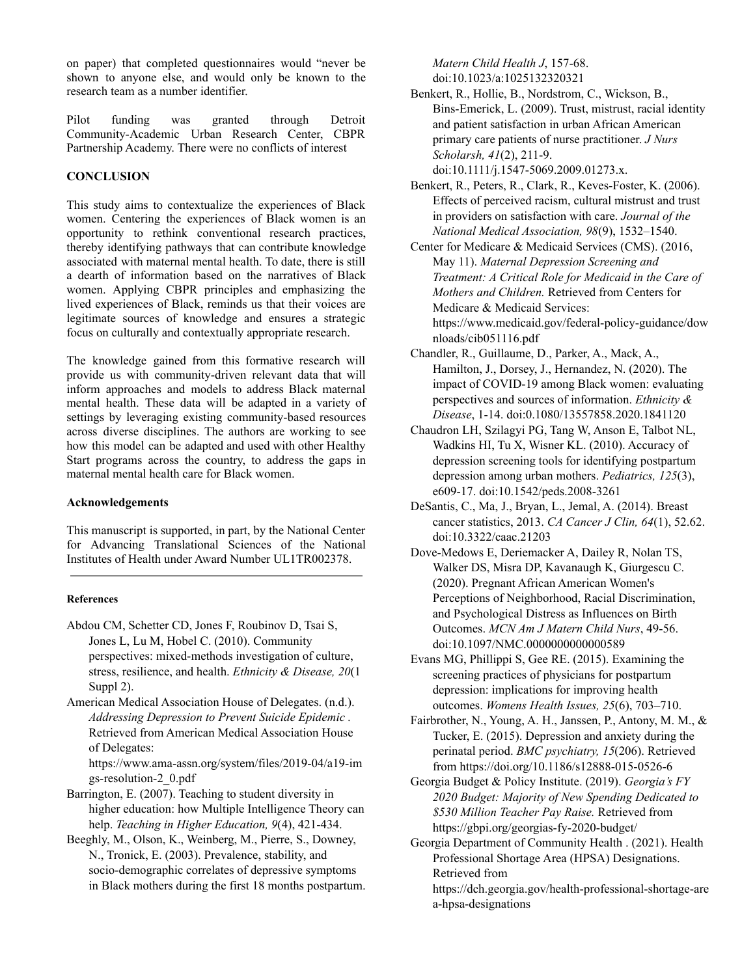on paper) that completed questionnaires would "never be shown to anyone else, and would only be known to the research team as a number identifier.

Pilot funding was granted through Detroit Community-Academic Urban Research Center, CBPR Partnership Academy. There were no conflicts of interest

# **CONCLUSION**

This study aims to contextualize the experiences of Black women. Centering the experiences of Black women is an opportunity to rethink conventional research practices, thereby identifying pathways that can contribute knowledge associated with maternal mental health. To date, there is still a dearth of information based on the narratives of Black women. Applying CBPR principles and emphasizing the lived experiences of Black, reminds us that their voices are legitimate sources of knowledge and ensures a strategic focus on culturally and contextually appropriate research.

The knowledge gained from this formative research will provide us with community-driven relevant data that will inform approaches and models to address Black maternal mental health. These data will be adapted in a variety of settings by leveraging existing community-based resources across diverse disciplines. The authors are working to see how this model can be adapted and used with other Healthy Start programs across the country, to address the gaps in maternal mental health care for Black women.

## **Acknowledgements**

This manuscript is supported, in part, by the National Center for Advancing Translational Sciences of the National Institutes of Health under Award Number UL1TR002378.

#### **References**

- Abdou CM, Schetter CD, Jones F, Roubinov D, Tsai S, Jones L, Lu M, Hobel C. (2010). Community perspectives: mixed-methods investigation of culture, stress, resilience, and health. *Ethnicity & Disease, 20*(1 Suppl 2).
- American Medical Association House of Delegates. (n.d.). *Addressing Depression to Prevent Suicide Epidemic .* Retrieved from American Medical Association House of Delegates:

https://www.ama-assn.org/system/files/2019-04/a19-im gs-resolution-2\_0.pdf

- Barrington, E. (2007). Teaching to student diversity in higher education: how Multiple Intelligence Theory can help. *Teaching in Higher Education, 9*(4), 421-434.
- Beeghly, M., Olson, K., Weinberg, M., Pierre, S., Downey, N., Tronick, E. (2003). Prevalence, stability, and socio-demographic correlates of depressive symptoms in Black mothers during the first 18 months postpartum.

*Matern Child Health J*, 157-68. doi:10.1023/a:1025132320321

- Benkert, R., Hollie, B., Nordstrom, C., Wickson, B., Bins-Emerick, L. (2009). Trust, mistrust, racial identity and patient satisfaction in urban African American primary care patients of nurse practitioner. *J Nurs Scholarsh, 41*(2), 211-9. doi:10.1111/j.1547-5069.2009.01273.x.
- Benkert, R., Peters, R., Clark, R., Keves-Foster, K. (2006). Effects of perceived racism, cultural mistrust and trust in providers on satisfaction with care. *Journal of the National Medical Association, 98*(9), 1532–1540.
- Center for Medicare & Medicaid Services (CMS). (2016, May 11). *Maternal Depression Screening and Treatment: A Critical Role for Medicaid in the Care of Mothers and Children.* Retrieved from Centers for Medicare & Medicaid Services: https://www.medicaid.gov/federal-policy-guidance/dow nloads/cib051116.pdf
- Chandler, R., Guillaume, D., Parker, A., Mack, A., Hamilton, J., Dorsey, J., Hernandez, N. (2020). The impact of COVID-19 among Black women: evaluating perspectives and sources of information. *Ethnicity & Disease*, 1-14. doi:0.1080/13557858.2020.1841120
- Chaudron LH, Szilagyi PG, Tang W, Anson E, Talbot NL, Wadkins HI, Tu X, Wisner KL. (2010). Accuracy of depression screening tools for identifying postpartum depression among urban mothers. *Pediatrics, 125*(3), e609-17. doi:10.1542/peds.2008-3261
- DeSantis, C., Ma, J., Bryan, L., Jemal, A. (2014). Breast cancer statistics, 2013. *CA Cancer J Clin, 64*(1), 52.62. doi:10.3322/caac.21203
- Dove-Medows E, Deriemacker A, Dailey R, Nolan TS, Walker DS, Misra DP, Kavanaugh K, Giurgescu C. (2020). Pregnant African American Women's Perceptions of Neighborhood, Racial Discrimination, and Psychological Distress as Influences on Birth Outcomes. *MCN Am J Matern Child Nurs*, 49-56. doi:10.1097/NMC.0000000000000589
- Evans MG, Phillippi S, Gee RE. (2015). Examining the screening practices of physicians for postpartum depression: implications for improving health outcomes. *Womens Health Issues, 25*(6), 703–710.
- Fairbrother, N., Young, A. H., Janssen, P., Antony, M. M., & Tucker, E. (2015). Depression and anxiety during the perinatal period. *BMC psychiatry, 15*(206). Retrieved from https://doi.org/10.1186/s12888-015-0526-6
- Georgia Budget & Policy Institute. (2019). *Georgia's FY 2020 Budget: Majority of New Spending Dedicated to \$530 Million Teacher Pay Raise.* Retrieved from https://gbpi.org/georgias-fy-2020-budget/
- Georgia Department of Community Health . (2021). Health Professional Shortage Area (HPSA) Designations. Retrieved from

https://dch.georgia.gov/health-professional-shortage-are a-hpsa-designations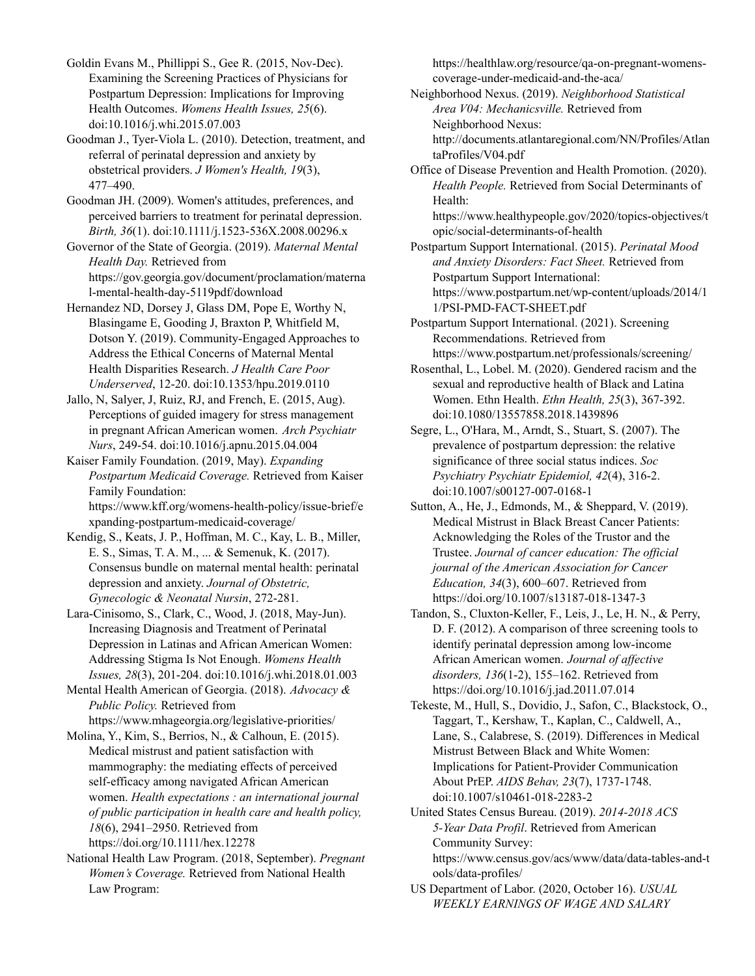Goldin Evans M., Phillippi S., Gee R. (2015, Nov-Dec). Examining the Screening Practices of Physicians for Postpartum Depression: Implications for Improving Health Outcomes. *Womens Health Issues, 25*(6). doi:10.1016/j.whi.2015.07.003

Goodman J., Tyer-Viola L. (2010). Detection, treatment, and referral of perinatal depression and anxiety by obstetrical providers. *J Women's Health, 19*(3), 477–490.

Goodman JH. (2009). Women's attitudes, preferences, and perceived barriers to treatment for perinatal depression. *Birth, 36*(1). doi:10.1111/j.1523-536X.2008.00296.x

Governor of the State of Georgia. (2019). *Maternal Mental Health Day.* Retrieved from https://gov.georgia.gov/document/proclamation/materna l-mental-health-day-5119pdf/download

Hernandez ND, Dorsey J, Glass DM, Pope E, Worthy N, Blasingame E, Gooding J, Braxton P, Whitfield M, Dotson Y. (2019). Community-Engaged Approaches to Address the Ethical Concerns of Maternal Mental Health Disparities Research. *J Health Care Poor Underserved*, 12-20. doi:10.1353/hpu.2019.0110

Jallo, N, Salyer, J, Ruiz, RJ, and French, E. (2015, Aug). Perceptions of guided imagery for stress management in pregnant African American women. *Arch Psychiatr Nurs*, 249-54. doi:10.1016/j.apnu.2015.04.004

Kaiser Family Foundation. (2019, May). *Expanding Postpartum Medicaid Coverage.* Retrieved from Kaiser Family Foundation: https://www.kff.org/womens-health-policy/issue-brief/e

xpanding-postpartum-medicaid-coverage/

Kendig, S., Keats, J. P., Hoffman, M. C., Kay, L. B., Miller, E. S., Simas, T. A. M., ... & Semenuk, K. (2017). Consensus bundle on maternal mental health: perinatal depression and anxiety. *Journal of Obstetric, Gynecologic & Neonatal Nursin*, 272-281.

Lara-Cinisomo, S., Clark, C., Wood, J. (2018, May-Jun). Increasing Diagnosis and Treatment of Perinatal Depression in Latinas and African American Women: Addressing Stigma Is Not Enough. *Womens Health Issues, 28*(3), 201-204. doi:10.1016/j.whi.2018.01.003

Mental Health American of Georgia. (2018). *Advocacy & Public Policy.* Retrieved from https://www.mhageorgia.org/legislative-priorities/

Molina, Y., Kim, S., Berrios, N., & Calhoun, E. (2015). Medical mistrust and patient satisfaction with mammography: the mediating effects of perceived self-efficacy among navigated African American women. *Health expectations : an international journal of public participation in health care and health policy, 18*(6), 2941–2950. Retrieved from https://doi.org/10.1111/hex.12278

National Health Law Program. (2018, September). *Pregnant Women's Coverage.* Retrieved from National Health Law Program:

https://healthlaw.org/resource/qa-on-pregnant-womenscoverage-under-medicaid-and-the-aca/

Neighborhood Nexus. (2019). *Neighborhood Statistical Area V04: Mechanicsville.* Retrieved from Neighborhood Nexus: http://documents.atlantaregional.com/NN/Profiles/Atlan taProfiles/V04.pdf

Office of Disease Prevention and Health Promotion. (2020). *Health People.* Retrieved from Social Determinants of Health:

https://www.healthypeople.gov/2020/topics-objectives/t opic/social-determinants-of-health

Postpartum Support International. (2015). *Perinatal Mood and Anxiety Disorders: Fact Sheet.* Retrieved from Postpartum Support International: https://www.postpartum.net/wp-content/uploads/2014/1 1/PSI-PMD-FACT-SHEET.pdf

Postpartum Support International. (2021). Screening Recommendations. Retrieved from https://www.postpartum.net/professionals/screening/

Rosenthal, L., Lobel. M. (2020). Gendered racism and the sexual and reproductive health of Black and Latina Women. Ethn Health. *Ethn Health, 25*(3), 367-392. doi:10.1080/13557858.2018.1439896

Segre, L., O'Hara, M., Arndt, S., Stuart, S. (2007). The prevalence of postpartum depression: the relative significance of three social status indices. *Soc Psychiatry Psychiatr Epidemiol, 42*(4), 316-2. doi:10.1007/s00127-007-0168-1

Sutton, A., He, J., Edmonds, M., & Sheppard, V. (2019). Medical Mistrust in Black Breast Cancer Patients: Acknowledging the Roles of the Trustor and the Trustee. *Journal of cancer education: The of icial journal of the American Association for Cancer Education, 34*(3), 600–607. Retrieved from https://doi.org/10.1007/s13187-018-1347-3

Tandon, S., Cluxton-Keller, F., Leis, J., Le, H. N., & Perry, D. F. (2012). A comparison of three screening tools to identify perinatal depression among low-income African American women. *Journal of af ective disorders, 136*(1-2), 155–162. Retrieved from https://doi.org/10.1016/j.jad.2011.07.014

Tekeste, M., Hull, S., Dovidio, J., Safon, C., Blackstock, O., Taggart, T., Kershaw, T., Kaplan, C., Caldwell, A., Lane, S., Calabrese, S. (2019). Differences in Medical Mistrust Between Black and White Women: Implications for Patient-Provider Communication About PrEP. *AIDS Behav, 23*(7), 1737-1748. doi:10.1007/s10461-018-2283-2

United States Census Bureau. (2019). *2014-2018 ACS 5-Year Data Profil*. Retrieved from American Community Survey: https://www.census.gov/acs/www/data/data-tables-and-t ools/data-profiles/

US Department of Labor. (2020, October 16). *USUAL WEEKLY EARNINGS OF WAGE AND SALARY*